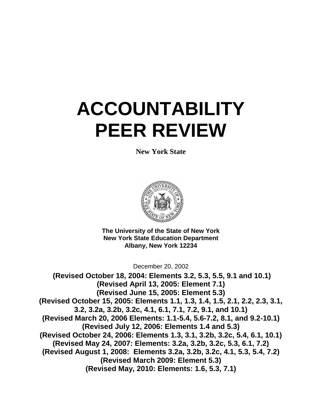# **ACCOUNTABILITY PEER REVIEW**

**New York State**



**The University of the State of New York New York State Education Department Albany, New York 12234**

December 20, 2002

**(Revised October 18, 2004: Elements 3.2, 5.3, 5.5, 9.1 and 10.1) (Revised April 13, 2005: Element 7.1) (Revised June 15, 2005: Element 5.3) (Revised October 15, 2005: Elements 1.1, 1.3, 1.4, 1.5, 2.1, 2.2, 2.3, 3.1, 3.2, 3.2a, 3.2b, 3.2c, 4.1, 6.1, 7.1, 7.2, 9.1, and 10.1) (Revised March 20, 2006 Elements: 1.1-5.4, 5.6-7.2, 8.1, and 9.2-10.1) (Revised July 12, 2006: Elements 1.4 and 5.3) (Revised October 24, 2006: Elements 1.3, 3.1, 3.2b, 3.2c, 5.4, 6.1, 10.1) (Revised May 24, 2007: Elements: 3.2a, 3.2b, 3.2c, 5.3, 6.1, 7.2) (Revised August 1, 2008: Elements 3.2a, 3.2b, 3.2c, 4.1, 5.3, 5.4, 7.2) (Revised March 2009: Element 5.3) (Revised May, 2010: Elements: 1.6, 5.3, 7.1)**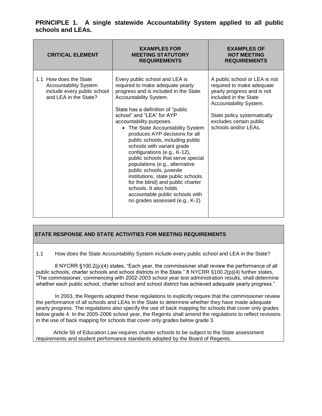| <b>CRITICAL ELEMENT</b>                                                                                        | <b>EXAMPLES FOR</b><br><b>MEETING STATUTORY</b><br><b>REQUIREMENTS</b>                                                                                                                                                                                                                                                                                                                                                                                                                                                                                                                                                                                                                      | <b>EXAMPLES OF</b><br><b>NOT MEETING</b><br><b>REQUIREMENTS</b>                                                                                                                                                               |
|----------------------------------------------------------------------------------------------------------------|---------------------------------------------------------------------------------------------------------------------------------------------------------------------------------------------------------------------------------------------------------------------------------------------------------------------------------------------------------------------------------------------------------------------------------------------------------------------------------------------------------------------------------------------------------------------------------------------------------------------------------------------------------------------------------------------|-------------------------------------------------------------------------------------------------------------------------------------------------------------------------------------------------------------------------------|
| 1.1 How does the State<br><b>Accountability System</b><br>include every public school<br>and LEA in the State? | Every public school and LEA is<br>required to make adequate yearly<br>progress and is included in the State<br>Accountability System.<br>State has a definition of "public"<br>school" and "LEA" for AYP<br>accountability purposes.<br>• The State Accountability System<br>produces AYP decisions for all<br>public schools, including public<br>schools with variant grade<br>configurations (e.g., K-12),<br>public schools that serve special<br>populations (e.g., alternative<br>public schools, juvenile<br>institutions, state public schools<br>for the blind) and public charter<br>schools. It also holds<br>accountable public schools with<br>no grades assessed (e.g., K-2). | A public school or LEA is not<br>required to make adequate<br>yearly progress and is not<br>included in the State<br>Accountability System.<br>State policy systematically<br>excludes certain public<br>schools and/or LEAs. |

1.1 How does the State Accountability System include every public school and LEA in the State?

8 NYCRR §100.2(p)(4) states, "Each year, the commissioner shall review the performance of all public schools, charter schools and school districts in the State." 8 NYCRR §100.2(p)(4) further states, ―The commissioner, commencing with 2002-2003 school year test administration results, shall determine whether each public school, charter school and school district has achieved adequate yearly progress."

 In 2003, the Regents adopted these regulations to explicitly require that the commissioner review the performance of all schools and LEAs in the State to determine whether they have made adequate yearly progress. The regulations also specify the use of back mapping for schools that cover only grades below grade 4. In the 2005-2006 school year, the Regents shall amend the regulations to reflect revisions in the use of back mapping for schools that cover only grades below grade 3.

 Article 56 of Education Law requires charter schools to be subject to the State assessment requirements and student performance standards adopted by the Board of Regents.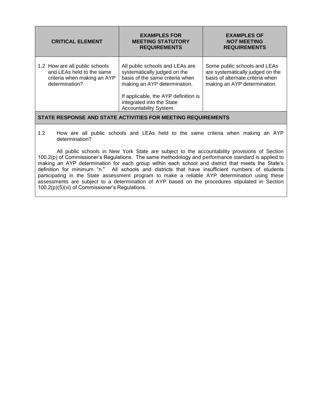| <b>CRITICAL ELEMENT</b>                                                                                      | <b>EXAMPLES FOR</b><br><b>MEETING STATUTORY</b><br><b>REQUIREMENTS</b>                                                                                                                                                            | <b>EXAMPLES OF</b><br><b>NOT MEETING</b><br><b>REQUIREMENTS</b>                                                                      |
|--------------------------------------------------------------------------------------------------------------|-----------------------------------------------------------------------------------------------------------------------------------------------------------------------------------------------------------------------------------|--------------------------------------------------------------------------------------------------------------------------------------|
| 1.2 How are all public schools<br>and LEAs held to the same<br>criteria when making an AYP<br>determination? | All public schools and LEAs are<br>systematically judged on the<br>basis of the same criteria when<br>making an AYP determination.<br>If applicable, the AYP definition is<br>integrated into the State<br>Accountability System. | Some public schools and LEAs<br>are systematically judged on the<br>basis of alternate criteria when<br>making an AYP determination. |
| STATE RESPONSE AND STATE ACTIVITIES FOR MEETING REQUIREMENTS                                                 |                                                                                                                                                                                                                                   |                                                                                                                                      |

1.2 How are all public schools and LEAs held to the same criteria when making an AYP determination?

All public schools in New York State are subject to the accountability provisions of Section 100.2(p) of Commissioner's Regulations. The same methodology and performance standard is applied to making an AYP determination for each group within each school and district that meets the State's definition for minimum "n." All schools and districts that have insufficient numbers of students participating in the State assessment program to make a reliable AYP determination using these assessments are subject to a determination of AYP based on the procedures stipulated in Section 100.2(p)(5)(vi) of Commissioner's Regulations.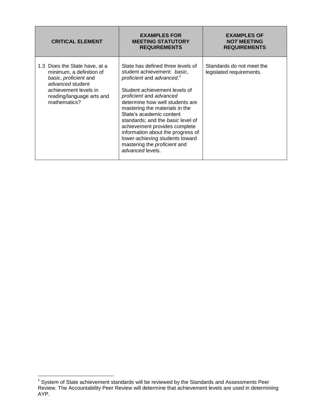| <b>CRITICAL ELEMENT</b>                                                                                                                                                      | <b>EXAMPLES FOR</b><br><b>MEETING STATUTORY</b><br><b>REQUIREMENTS</b>                                                                                                                                                                                                                                                                                                                                                                                                          | <b>EXAMPLES OF</b><br><b>NOT MEETING</b><br><b>REQUIREMENTS</b> |
|------------------------------------------------------------------------------------------------------------------------------------------------------------------------------|---------------------------------------------------------------------------------------------------------------------------------------------------------------------------------------------------------------------------------------------------------------------------------------------------------------------------------------------------------------------------------------------------------------------------------------------------------------------------------|-----------------------------------------------------------------|
| 1.3 Does the State have, at a<br>minimum, a definition of<br>basic, proficient and<br>advanced student<br>achievement levels in<br>reading/language arts and<br>mathematics? | State has defined three levels of<br>student achievement: basic,<br>proficient and advanced. <sup>1</sup><br>Student achievement levels of<br>proficient and advanced<br>determine how well students are<br>mastering the materials in the<br>State's academic content<br>standards; and the basic level of<br>achievement provides complete<br>information about the progress of<br>lower-achieving students toward<br>mastering the <i>proficient</i> and<br>advanced levels. | Standards do not meet the<br>legislated requirements.           |

 1 System of State achievement standards will be reviewed by the Standards and Assessments Peer Review. The Accountability Peer Review will determine that achievement levels are used in determining AYP.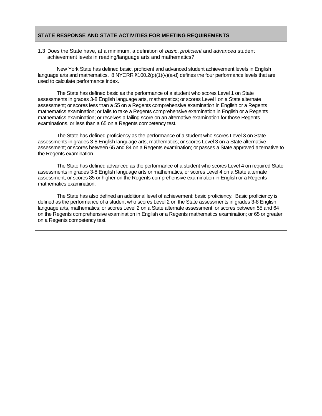1.3 Does the State have, at a minimum, a definition of *basic*, *proficient* and *advanced* student achievement levels in reading/language arts and mathematics?

New York State has defined basic, proficient and advanced student achievement levels in English language arts and mathematics.  $8$  NYCRR  $\S100.2(p)(1)(v)(a-d)$  defines the four performance levels that are used to calculate performance index.

The State has defined basic as the performance of a student who scores Level 1 on State assessments in grades 3-8 English language arts, mathematics; or scores Level I on a State alternate assessment; or scores less than a 55 on a Regents comprehensive examination in English or a Regents mathematics examination; or fails to take a Regents comprehensive examination in English or a Regents mathematics examination; or receives a failing score on an alternative examination for those Regents examinations, or less than a 65 on a Regents competency test.

The State has defined proficiency as the performance of a student who scores Level 3 on State assessments in grades 3-8 English language arts, mathematics; or scores Level 3 on a State alternative assessment; or scores between 65 and 84 on a Regents examination; or passes a State approved alternative to the Regents examination.

The State has defined advanced as the performance of a student who scores Level 4 on required State assessments in grades 3-8 English language arts or mathematics, or scores Level 4 on a State alternate assessment; or scores 85 or higher on the Regents comprehensive examination in English or a Regents mathematics examination.

The State has also defined an additional level of achievement: basic proficiency. Basic proficiency is defined as the performance of a student who scores Level 2 on the State assessments in grades 3-8 English language arts, mathematics; or scores Level 2 on a State alternate assessment; or scores between 55 and 64 on the Regents comprehensive examination in English or a Regents mathematics examination; or 65 or greater on a Regents competency test.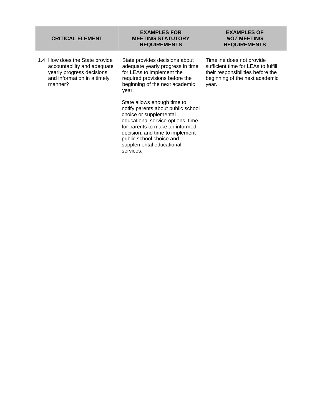| <b>CRITICAL ELEMENT</b>                                                                                                              | <b>EXAMPLES FOR</b><br><b>MEETING STATUTORY</b><br><b>REQUIREMENTS</b>                                                                                                                                                                                                                                                                                                                                                                                      | <b>EXAMPLES OF</b><br><b>NOT MEETING</b><br><b>REQUIREMENTS</b>                                                                                  |
|--------------------------------------------------------------------------------------------------------------------------------------|-------------------------------------------------------------------------------------------------------------------------------------------------------------------------------------------------------------------------------------------------------------------------------------------------------------------------------------------------------------------------------------------------------------------------------------------------------------|--------------------------------------------------------------------------------------------------------------------------------------------------|
| 1.4 How does the State provide<br>accountability and adequate<br>yearly progress decisions<br>and information in a timely<br>manner? | State provides decisions about<br>adequate yearly progress in time<br>for LEAs to implement the<br>required provisions before the<br>beginning of the next academic<br>year.<br>State allows enough time to<br>notify parents about public school<br>choice or supplemental<br>educational service options, time<br>for parents to make an informed<br>decision, and time to implement<br>public school choice and<br>supplemental educational<br>services. | Timeline does not provide<br>sufficient time for LEAs to fulfill<br>their responsibilities before the<br>beginning of the next academic<br>year. |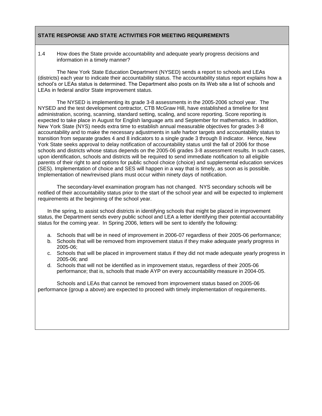1.4 How does the State provide accountability and adequate yearly progress decisions and information in a timely manner?

The New York State Education Department (NYSED) sends a report to schools and LEAs (districts) each year to indicate their accountability status. The accountability status report explains how a school's or LEAs status is determined. The Department also posts on its Web site a list of schools and LEAs in federal and/or State improvement status.

The NYSED is implementing its grade 3-8 assessments in the 2005-2006 school year. The NYSED and the test development contractor, CTB McGraw Hill, have established a timeline for test administration, scoring, scanning, standard setting, scaling, and score reporting. Score reporting is expected to take place in August for English language arts and September for mathematics. In addition, New York State (NYS) needs extra time to establish annual measurable objectives for grades 3-8 accountability and to make the necessary adjustments in safe harbor targets and accountability status to transition from separate grades 4 and 8 indicators to a single grade 3 through 8 indicator. Hence, New York State seeks approval to delay notification of accountability status until the fall of 2006 for those schools and districts whose status depends on the 2005-06 grades 3-8 assessment results. In such cases, upon identification, schools and districts will be required to send immediate notification to all eligible parents of their right to and options for public school choice (choice) and supplemental education services (SES). Implementation of choice and SES will happen in a way that is timely, as soon as is possible. Implementation of new/revised plans must occur within ninety days of notification.

The secondary-level examination program has not changed. NYS secondary schools will be notified of their accountability status prior to the start of the school year and will be expected to implement requirements at the beginning of the school year.

In the spring, to assist school districts in identifying schools that might be placed in improvement status, the Department sends every public school and LEA a letter identifying their potential accountability status for the coming year. In Spring 2006, letters will be sent to identify the following:

- a. Schools that will be in need of improvement in 2006-07 regardless of their 2005-06 performance;
- b. Schools that will be removed from improvement status if they make adequate yearly progress in 2005-06;
- c. Schools that will be placed in improvement status if they did not made adequate yearly progress in 2005-06; and
- d. Schools that will not be identified as in improvement status, regardless of their 2005-06 performance; that is, schools that made AYP on every accountability measure in 2004-05.

Schools and LEAs that cannot be removed from improvement status based on 2005-06 performance (group a above) are expected to proceed with timely implementation of requirements.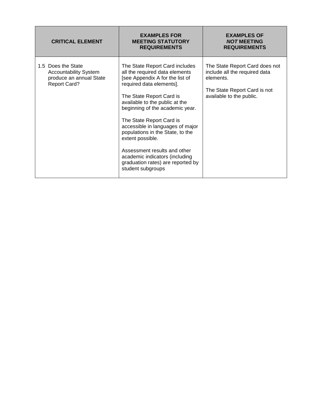| <b>CRITICAL ELEMENT</b>                                                                              | <b>EXAMPLES FOR</b><br><b>MEETING STATUTORY</b><br><b>REQUIREMENTS</b>                                                                                                                                                                                                                                                                                                                                                                                                               | <b>EXAMPLES OF</b><br><b>NOT MEETING</b><br><b>REQUIREMENTS</b>                                                                          |
|------------------------------------------------------------------------------------------------------|--------------------------------------------------------------------------------------------------------------------------------------------------------------------------------------------------------------------------------------------------------------------------------------------------------------------------------------------------------------------------------------------------------------------------------------------------------------------------------------|------------------------------------------------------------------------------------------------------------------------------------------|
| 1.5 Does the State<br><b>Accountability System</b><br>produce an annual State<br><b>Report Card?</b> | The State Report Card includes<br>all the required data elements<br>[see Appendix A for the list of<br>required data elements].<br>The State Report Card is<br>available to the public at the<br>beginning of the academic year.<br>The State Report Card is<br>accessible in languages of major<br>populations in the State, to the<br>extent possible.<br>Assessment results and other<br>academic indicators (including<br>graduation rates) are reported by<br>student subgroups | The State Report Card does not<br>include all the required data<br>elements.<br>The State Report Card is not<br>available to the public. |

T

Г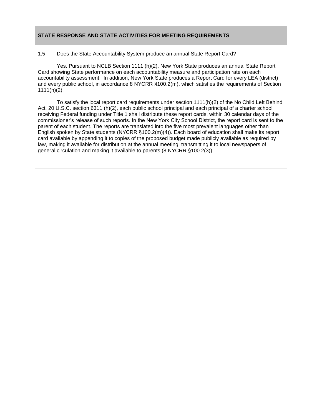1.5 Does the State Accountability System produce an annual State Report Card?

Yes. Pursuant to NCLB Section 1111 (h)(2), New York State produces an annual State Report Card showing State performance on each accountability measure and participation rate on each accountability assessment. In addition, New York State produces a Report Card for every LEA (district) and every public school, in accordance 8 NYCRR §100.2(m), which satisfies the requirements of Section  $1111(h)(2)$ .

To satisfy the local report card requirements under section 1111(h)(2) of the No Child Left Behind Act, 20 U.S.C. section 6311 (h)(2), each public school principal and each principal of a charter school receiving Federal funding under Title 1 shall distribute these report cards, within 30 calendar days of the commissioner's release of such reports. In the New York City School District, the report card is sent to the parent of each student. The reports are translated into the five most prevalent languages other than English spoken by State students (NYCRR §100.2(m)(4)). Each board of education shall make its report card available by appending it to copies of the proposed budget made publicly available as required by law, making it available for distribution at the annual meeting, transmitting it to local newspapers of general circulation and making it available to parents (8 NYCRR §100.2(3)).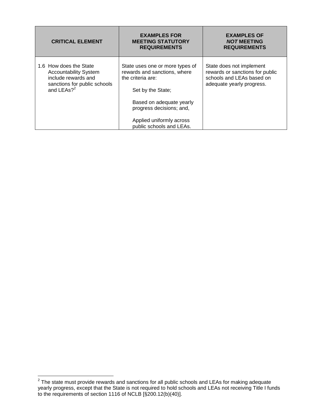| <b>CRITICAL ELEMENT</b>                                                                                                                 | <b>EXAMPLES FOR</b><br><b>MEETING STATUTORY</b><br><b>REQUIREMENTS</b>                                                                                                                                                    | <b>EXAMPLES OF</b><br><b>NOT MEETING</b><br><b>REQUIREMENTS</b>                                                       |
|-----------------------------------------------------------------------------------------------------------------------------------------|---------------------------------------------------------------------------------------------------------------------------------------------------------------------------------------------------------------------------|-----------------------------------------------------------------------------------------------------------------------|
| 1.6 How does the State<br><b>Accountability System</b><br>include rewards and<br>sanctions for public schools<br>and LEAs? <sup>2</sup> | State uses one or more types of<br>rewards and sanctions, where<br>the criteria are:<br>Set by the State;<br>Based on adequate yearly<br>progress decisions; and,<br>Applied uniformly across<br>public schools and LEAs. | State does not implement<br>rewards or sanctions for public<br>schools and LEAs based on<br>adequate yearly progress. |

 2 The state must provide rewards and sanctions for all public schools and LEAs for making adequate yearly progress, except that the State is not required to hold schools and LEAs not receiving Title I funds to the requirements of section 1116 of NCLB [§200.12(b)(40)].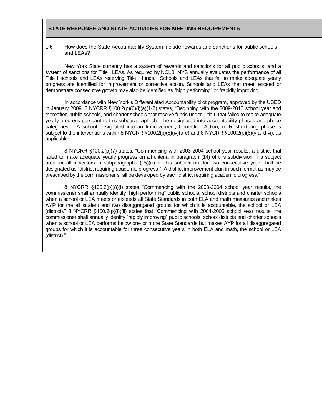1.6 How does the State Accountability System include rewards and sanctions for public schools and LEAs?

New York State currently has a system of rewards and sanctions for all public schools, and a system of sanctions for Title I LEAs. As required by NCLB, NYS annually evaluates the performance of all Title I schools and LEAs receiving Title I funds. Schools and LEAs that fail to make adequate yearly progress are identified for improvement or corrective action. Schools and LEAs that meet, exceed or demonstrate consecutive growth may also be identified as "high performing" or "rapidly improving."

In accordance with New York's Differentiated Accountability pilot program, approved by the USED in January 2009, 8 NYCRR  $\S100.2(p)(6)(i)(a)(1-3)$  states, "Beginning with the 2009-2010 school year and thereafter, public schools, and charter schools that receive funds under Title I, that failed to make adequate yearly progress pursuant to this subparagraph shall be designated into accountability phases and phase categories.‖ A school designated into an Improvement, Corrective Action, or Restructuring phase is subject to the interventions within 8 NYCRR §100.2(p)(6)(iv)(a-e) and 8 NYCRR §100.2(p)(6)(v and vi), as applicable.

8 NYCRR §100.2(p)(7) states, "Commencing with 2003-2004 school year results, a district that failed to make adequate yearly progress on all criteria in paragraph (14) of this subdivision in a subject area, or all indicators in subparagraphs (15)(iii) of this subdivision, for two consecutive year shall be designated as "district requiring academic progress." A district improvement plan in such format as may be prescribed by the commissioner shall be developed by each district requiring academic progress."

8 NYCRR  $$100.2(p)(8)(i)$  states "Commencing with the 2003-2004 school year results, the commissioner shall annually identify "high performing" public schools, school districts and charter schools when a school or LEA meets or exceeds all State Standards in both ELA and math measures and makes AYP for the all student and two disaggregated groups for which it is accountable, the school or LEA (district)." 8 NYCRR  $\S100.2(p)(8)(ii)$  states that "Commencing with 2004-2005 school year results, the commissioner shall annually identify "rapidly improving" public schools, school districts and charter schools when a school or LEA performs below one or more State Standards but makes AYP for all disaggregated groups for which it is accountable for three consecutive years in both ELA and math, the school or LEA (district)."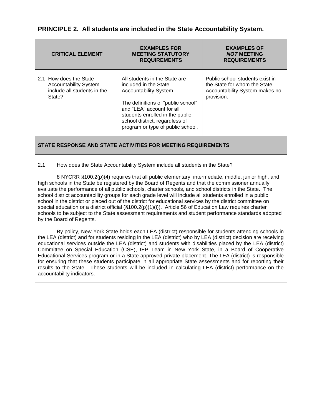| <b>CRITICAL ELEMENT</b>                                                                         | <b>EXAMPLES FOR</b><br><b>MEETING STATUTORY</b><br><b>REQUIREMENTS</b>                                                                                                                                                                                        | <b>EXAMPLES OF</b><br><b>NOT MEETING</b><br><b>REQUIREMENTS</b>                                                 |
|-------------------------------------------------------------------------------------------------|---------------------------------------------------------------------------------------------------------------------------------------------------------------------------------------------------------------------------------------------------------------|-----------------------------------------------------------------------------------------------------------------|
| 2.1 How does the State<br><b>Accountability System</b><br>include all students in the<br>State? | All students in the State are<br>included in the State<br>Accountability System.<br>The definitions of "public school"<br>and "LEA" account for all<br>students enrolled in the public<br>school district, regardless of<br>program or type of public school. | Public school students exist in<br>the State for whom the State<br>Accountability System makes no<br>provision. |

#### 2.1 How does the State Accountability System include all students in the State?

8 NYCRR §100.2(p)(4) requires that all public elementary, intermediate, middle, junior high, and high schools in the State be registered by the Board of Regents and that the commissioner annually evaluate the performance of all public schools, charter schools, and school districts in the State. The school district accountability groups for each grade level will include all students enrolled in a public school in the district or placed out of the district for educational services by the district committee on special education or a district official  $(\S 100.2(p)(1)(i))$ . Article 56 of Education Law requires charter schools to be subject to the State assessment requirements and student performance standards adopted by the Board of Regents.

By policy, New York State holds each LEA (district) responsible for students attending schools in the LEA (district) and for students residing in the LEA (district) who by LEA (district) decision are receiving educational services outside the LEA (district) and students with disabilities placed by the LEA (district) Committee on Special Education (CSE), IEP Team in New York State, in a Board of Cooperative Educational Services program or in a State approved-private placement. The LEA (district) is responsible for ensuring that these students participate in all appropriate State assessments and for reporting their results to the State. These students will be included in calculating LEA (district) performance on the accountability indicators.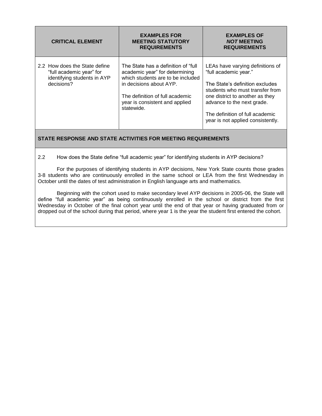| <b>CRITICAL ELEMENT</b>                                                                                | <b>EXAMPLES FOR</b><br><b>MEETING STATUTORY</b><br><b>REQUIREMENTS</b>                                                                                                                                                    | <b>EXAMPLES OF</b><br><b>NOT MEETING</b><br><b>REQUIREMENTS</b>                                                                                                                                                                                                          |
|--------------------------------------------------------------------------------------------------------|---------------------------------------------------------------------------------------------------------------------------------------------------------------------------------------------------------------------------|--------------------------------------------------------------------------------------------------------------------------------------------------------------------------------------------------------------------------------------------------------------------------|
| 2.2 How does the State define<br>"full academic year" for<br>identifying students in AYP<br>decisions? | The State has a definition of "full"<br>academic year" for determining<br>which students are to be included<br>in decisions about AYP.<br>The definition of full academic<br>year is consistent and applied<br>statewide. | LEAs have varying definitions of<br>"full academic year."<br>The State's definition excludes<br>students who must transfer from<br>one district to another as they<br>advance to the next grade.<br>The definition of full academic<br>year is not applied consistently. |

#### 2.2 How does the State define "full academic year" for identifying students in AYP decisions?

For the purposes of identifying students in AYP decisions, New York State counts those grades 3-8 students who are continuously enrolled in the same school or LEA from the first Wednesday in October until the dates of test administration in English language arts and mathematics.

Beginning with the cohort used to make secondary level AYP decisions in 2005-06, the State will define "full academic year" as being continuously enrolled in the school or district from the first Wednesday in October of the final cohort year until the end of that year or having graduated from or dropped out of the school during that period, where year 1 is the year the student first entered the cohort.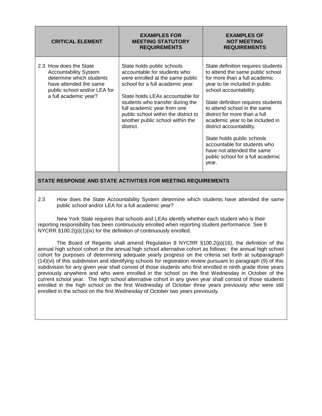| <b>CRITICAL ELEMENT</b>                                                                                                                                               | <b>EXAMPLES FOR</b><br><b>MEETING STATUTORY</b><br><b>REQUIREMENTS</b>                                                                                                                                                                                                                                                             | <b>EXAMPLES OF</b><br><b>NOT MEETING</b><br><b>REQUIREMENTS</b>                                                                                                                                                                                                                                                                                                                                                                                                                    |
|-----------------------------------------------------------------------------------------------------------------------------------------------------------------------|------------------------------------------------------------------------------------------------------------------------------------------------------------------------------------------------------------------------------------------------------------------------------------------------------------------------------------|------------------------------------------------------------------------------------------------------------------------------------------------------------------------------------------------------------------------------------------------------------------------------------------------------------------------------------------------------------------------------------------------------------------------------------------------------------------------------------|
| 2.3 How does the State<br><b>Accountability System</b><br>determine which students<br>have attended the same<br>public school and/or LEA for<br>a full academic year? | State holds public schools<br>accountable for students who<br>were enrolled at the same public<br>school for a full academic year.<br>State holds LEAs accountable for<br>students who transfer during the<br>full academic year from one<br>public school within the district to<br>another public school within the<br>district. | State definition requires students<br>to attend the same public school<br>for more than a full academic<br>year to be included in public<br>school accountability.<br>State definition requires students<br>to attend school in the same<br>district for more than a full<br>academic year to be included in<br>district accountability.<br>State holds public schools<br>accountable for students who<br>have not attended the same<br>public school for a full academic<br>year. |

2.3 How does the State Accountability System determine which students have attended the same public school and/or LEA for a full academic year?

New York State requires that schools and LEAs identify whether each student who is their reporting responsibility has been continuously enrolled when reporting student performance. See 8 NYCRR §100.2(p)(1)(ix) for the definition of continuously enrolled.

 The Board of Regents shall amend Regulation 8 NYCRR §100.2(p)(16), the definition of the annual high school cohort or the annual high school alternative cohort as follows: the annual high school cohort for purposes of determining adequate yearly progress on the criteria set forth at subparagraph (14)(vi) of this subdivision and identifying schools for registration review pursuant to paragraph (9) of this subdivision for any given year shall consist of those students who first enrolled in ninth grade three years previously anywhere and who were enrolled in the school on the first Wednesday in October of the current school year. The high school alternative cohort in any given year shall consist of those students enrolled in the high school on the first Wednesday of October three years previously who were still enrolled in the school on the first Wednesday of October two years previously.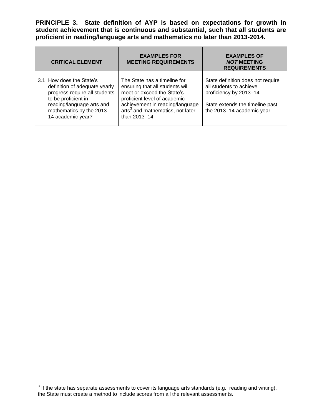**PRINCIPLE 3. State definition of AYP is based on expectations for growth in student achievement that is continuous and substantial, such that all students are proficient in reading/language arts and mathematics no later than 2013-2014.**

| <b>CRITICAL ELEMENT</b>                                                                                                                                                                         | <b>EXAMPLES FOR</b><br><b>MEETING REQUIREMENTS</b>                                                                                                                                                                                | <b>EXAMPLES OF</b><br><b>NOT MEETING</b><br><b>REQUIREMENTS</b>                                                                                          |
|-------------------------------------------------------------------------------------------------------------------------------------------------------------------------------------------------|-----------------------------------------------------------------------------------------------------------------------------------------------------------------------------------------------------------------------------------|----------------------------------------------------------------------------------------------------------------------------------------------------------|
| 3.1 How does the State's<br>definition of adequate yearly<br>progress require all students<br>to be proficient in<br>reading/language arts and<br>mathematics by the 2013-<br>14 academic year? | The State has a timeline for<br>ensuring that all students will<br>meet or exceed the State's<br>proficient level of academic<br>achievement in reading/language<br>arts <sup>3</sup> and mathematics, not later<br>than 2013-14. | State definition does not require<br>all students to achieve<br>proficiency by 2013-14.<br>State extends the timeline past<br>the 2013-14 academic year. |

 3 If the state has separate assessments to cover its language arts standards (e.g., reading and writing), the State must create a method to include scores from all the relevant assessments.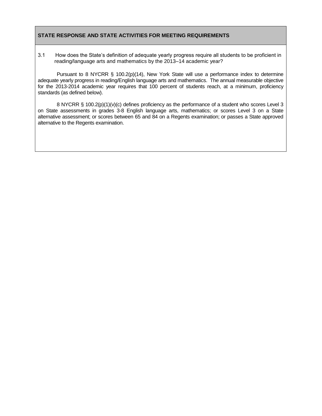3.1 How does the State's definition of adequate yearly progress require all students to be proficient in reading/language arts and mathematics by the 2013–14 academic year?

Pursuant to 8 NYCRR § 100.2(p)(14), New York State will use a performance index to determine adequate yearly progress in reading/English language arts and mathematics. The annual measurable objective for the 2013-2014 academic year requires that 100 percent of students reach, at a minimum, proficiency standards (as defined below).

8 NYCRR § 100.2(p)(1)(v)(c) defines proficiency as the performance of a student who scores Level 3 on State assessments in grades 3-8 English language arts, mathematics; or scores Level 3 on a State alternative assessment; or scores between 65 and 84 on a Regents examination; or passes a State approved alternative to the Regents examination.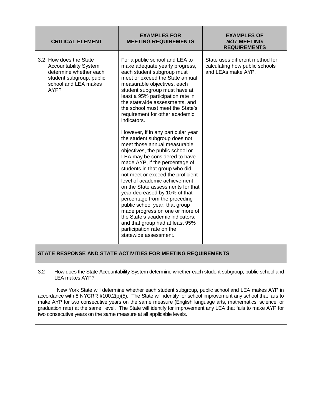| <b>CRITICAL ELEMENT</b>                                                                                                                      | <b>EXAMPLES FOR</b><br><b>MEETING REQUIREMENTS</b>                                                                                                                                                                                                                                                                                                                                                                                                                                                                                                                                                                          | <b>EXAMPLES OF</b><br><b>NOT MEETING</b><br><b>REQUIREMENTS</b>                         |
|----------------------------------------------------------------------------------------------------------------------------------------------|-----------------------------------------------------------------------------------------------------------------------------------------------------------------------------------------------------------------------------------------------------------------------------------------------------------------------------------------------------------------------------------------------------------------------------------------------------------------------------------------------------------------------------------------------------------------------------------------------------------------------------|-----------------------------------------------------------------------------------------|
| 3.2 How does the State<br><b>Accountability System</b><br>determine whether each<br>student subgroup, public<br>school and LEA makes<br>AYP? | For a public school and LEA to<br>make adequate yearly progress,<br>each student subgroup must<br>meet or exceed the State annual<br>measurable objectives, each<br>student subgroup must have at<br>least a 95% participation rate in<br>the statewide assessments, and<br>the school must meet the State's<br>requirement for other academic<br>indicators.                                                                                                                                                                                                                                                               | State uses different method for<br>calculating how public schools<br>and LEAs make AYP. |
|                                                                                                                                              | However, if in any particular year<br>the student subgroup does not<br>meet those annual measurable<br>objectives, the public school or<br>LEA may be considered to have<br>made AYP, if the percentage of<br>students in that group who did<br>not meet or exceed the proficient<br>level of academic achievement<br>on the State assessments for that<br>year decreased by 10% of that<br>percentage from the preceding<br>public school year; that group<br>made progress on one or more of<br>the State's academic indicators;<br>and that group had at least 95%<br>participation rate on the<br>statewide assessment. |                                                                                         |

3.2 How does the State Accountability System determine whether each student subgroup, public school and LEA makes AYP?

New York State will determine whether each student subgroup, public school and LEA makes AYP in accordance with 8 NYCRR §100.2(p)(5). The State will identify for school improvement any school that fails to make AYP for two consecutive years on the same measure (English language arts, mathematics, science, or graduation rate) at the same level. The State will identify for improvement any LEA that fails to make AYP for two consecutive years on the same measure at all applicable levels.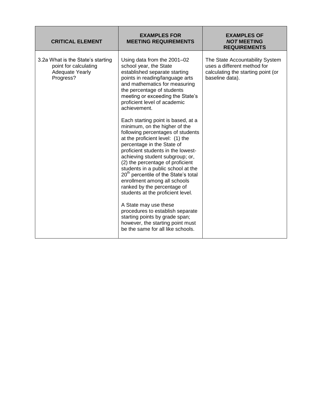| <b>CRITICAL ELEMENT</b>                                                                           | <b>EXAMPLES FOR</b><br><b>MEETING REQUIREMENTS</b>                                                                                                                                                                                                                                                                                                                                                             | <b>EXAMPLES OF</b><br><b>NOT MEETING</b><br><b>REQUIREMENTS</b>                                                         |
|---------------------------------------------------------------------------------------------------|----------------------------------------------------------------------------------------------------------------------------------------------------------------------------------------------------------------------------------------------------------------------------------------------------------------------------------------------------------------------------------------------------------------|-------------------------------------------------------------------------------------------------------------------------|
| 3.2a What is the State's starting<br>point for calculating<br><b>Adequate Yearly</b><br>Progress? | Using data from the 2001-02<br>school year, the State<br>established separate starting<br>points in reading/language arts<br>and mathematics for measuring<br>the percentage of students<br>meeting or exceeding the State's<br>proficient level of academic<br>achievement.<br>Each starting point is based, at a<br>minimum, on the higher of the                                                            | The State Accountability System<br>uses a different method for<br>calculating the starting point (or<br>baseline data). |
|                                                                                                   | following percentages of students<br>at the proficient level: (1) the<br>percentage in the State of<br>proficient students in the lowest-<br>achieving student subgroup; or,<br>(2) the percentage of proficient<br>students in a public school at the<br>20 <sup>th</sup> percentile of the State's total<br>enrollment among all schools<br>ranked by the percentage of<br>students at the proficient level. |                                                                                                                         |
|                                                                                                   | A State may use these<br>procedures to establish separate<br>starting points by grade span;<br>however, the starting point must<br>be the same for all like schools.                                                                                                                                                                                                                                           |                                                                                                                         |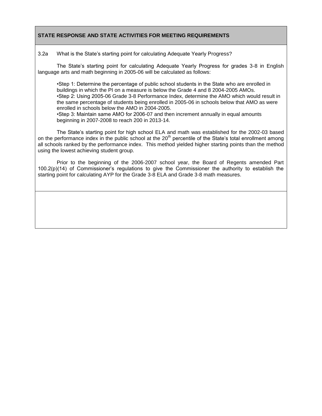3.2a What is the State's starting point for calculating Adequate Yearly Progress?

The State's starting point for calculating Adequate Yearly Progress for grades 3-8 in English language arts and math beginning in 2005-06 will be calculated as follows:

•Step 1: Determine the percentage of public school students in the State who are enrolled in buildings in which the PI on a measure is below the Grade 4 and 8 2004-2005 AMOs. •Step 2: Using 2005-06 Grade 3-8 Performance Index, determine the AMO which would result in the same percentage of students being enrolled in 2005-06 in schools below that AMO as were enrolled in schools below the AMO in 2004-2005. •Step 3: Maintain same AMO for 2006-07 and then increment annually in equal amounts beginning in 2007-2008 to reach 200 in 2013-14.

The State's starting point for high school ELA and math was established for the 2002-03 based on the performance index in the public school at the 20<sup>th</sup> percentile of the State's total enrollment among all schools ranked by the performance index. This method yielded higher starting points than the method using the lowest achieving student group.

Prior to the beginning of the 2006-2007 school year, the Board of Regents amended Part 100.2(p)(14) of Commissioner's regulations to give the Commissioner the authority to establish the starting point for calculating AYP for the Grade 3-8 ELA and Grade 3-8 math measures.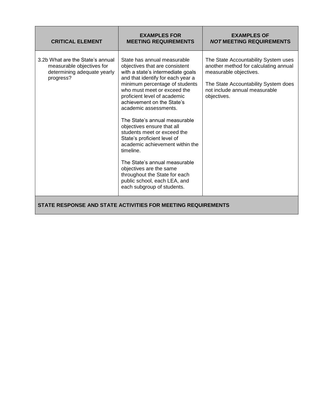| <b>CRITICAL ELEMENT</b>                                                                                   | <b>EXAMPLES FOR</b><br><b>MEETING REQUIREMENTS</b>                                                                                                                                                                                                                                                                                                                                                                                                                                                                                                                                                                                      | <b>EXAMPLES OF</b><br><b>NOT MEETING REQUIREMENTS</b>                                                                                                                                           |
|-----------------------------------------------------------------------------------------------------------|-----------------------------------------------------------------------------------------------------------------------------------------------------------------------------------------------------------------------------------------------------------------------------------------------------------------------------------------------------------------------------------------------------------------------------------------------------------------------------------------------------------------------------------------------------------------------------------------------------------------------------------------|-------------------------------------------------------------------------------------------------------------------------------------------------------------------------------------------------|
| 3.2b What are the State's annual<br>measurable objectives for<br>determining adequate yearly<br>progress? | State has annual measurable<br>objectives that are consistent<br>with a state's intermediate goals<br>and that identify for each year a<br>minimum percentage of students<br>who must meet or exceed the<br>proficient level of academic<br>achievement on the State's<br>academic assessments.<br>The State's annual measurable<br>objectives ensure that all<br>students meet or exceed the<br>State's proficient level of<br>academic achievement within the<br>timeline.<br>The State's annual measurable<br>objectives are the same<br>throughout the State for each<br>public school, each LEA, and<br>each subgroup of students. | The State Accountability System uses<br>another method for calculating annual<br>measurable objectives.<br>The State Accountability System does<br>not include annual measurable<br>objectives. |
|                                                                                                           | STATE RESPONSE AND STATE ACTIVITIES FOR MEETING REQUIREMENTS                                                                                                                                                                                                                                                                                                                                                                                                                                                                                                                                                                            |                                                                                                                                                                                                 |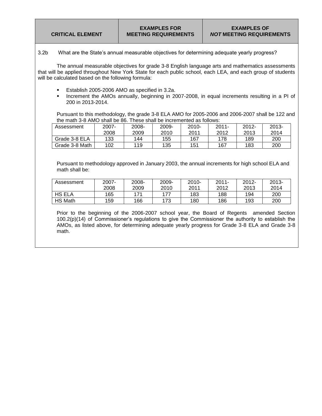3.2b What are the State's annual measurable objectives for determining adequate yearly progress?

The annual measurable objectives for grade 3-8 English language arts and mathematics assessments that will be applied throughout New York State for each public school, each LEA, and each group of students will be calculated based on the following formula:

- **Establish 2005-2006 AMO as specified in 3.2a.**
- **Increment the AMOs annually, beginning in 2007-2008, in equal increments resulting in a PI of** 200 in 2013-2014.

Pursuant to this methodology, the grade 3-8 ELA AMO for 2005-2006 and 2006-2007 shall be 122 and the math 3-8 AMO shall be 86. These shall be incremented as follows:

| Assessment     | 2007- | 2008- | 2009- | $2010 -$ | $2011 -$ | $2012 -$ | $2013 -$ |
|----------------|-------|-------|-------|----------|----------|----------|----------|
|                | 2008  | 2009  | 2010  | 2011     | 2012     | 2013     | 2014     |
| Grade 3-8 ELA  | 133   | 144   | 155   | 167      | 178      | 189      | 200      |
| Grade 3-8 Math | 102   | 119   | 135   | 151      | 167      | 183      | 200      |

Pursuant to methodology approved in January 2003, the annual increments for high school ELA and math shall be:

| Assessment     | $2007 -$ | 2008- | 2009- | 2010- | $2011 -$ | $2012 -$ | $2013 -$ |
|----------------|----------|-------|-------|-------|----------|----------|----------|
|                | 2008     | 2009  | 2010  | 2011  | 2012     | 2013     | 2014     |
| <b>HS ELA</b>  | 165      | 171   | 177   | 183   | 188      | 194      | 200      |
| <b>HS Math</b> | 159      | 166   | 173   | 180   | 186      | 193      | 200      |

Prior to the beginning of the 2006-2007 school year, the Board of Regents amended Section 100.2(p)(14) of Commissioner's regulations to give the Commissioner the authority to establish the AMOs, as listed above, for determining adequate yearly progress for Grade 3-8 ELA and Grade 3-8 math.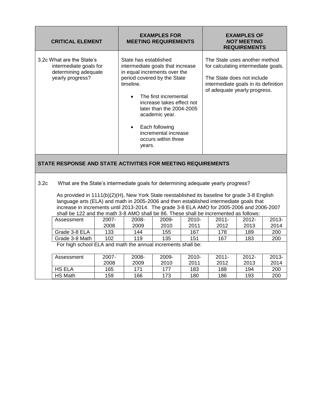| <b>CRITICAL ELEMENT</b>                                                                         | <b>EXAMPLES FOR</b><br><b>MEETING REQUIREMENTS</b>                                                                                                                                                                                                                                                                     | <b>EXAMPLES OF</b><br><b>NOT MEETING</b><br><b>REQUIREMENTS</b>                                                                                                            |
|-------------------------------------------------------------------------------------------------|------------------------------------------------------------------------------------------------------------------------------------------------------------------------------------------------------------------------------------------------------------------------------------------------------------------------|----------------------------------------------------------------------------------------------------------------------------------------------------------------------------|
| 3.2c What are the State's<br>intermediate goals for<br>determining adequate<br>yearly progress? | State has established<br>intermediate goals that increase<br>in equal increments over the<br>period covered by the State<br>timeline.<br>The first incremental<br>increase takes effect not<br>later than the $2004-2005$<br>academic year.<br>Each following<br>incremental increase<br>occurs within three<br>years. | The State uses another method<br>for calculating intermediate goals.<br>The State does not include<br>intermediate goals in its definition<br>of adequate yearly progress. |

### 3.2c What are the State's intermediate goals for determining adequate yearly progress?

As provided in 1111(b)(2)(H), New York State reestablished its baseline for grade 3-8 English language arts (ELA) and math in 2005-2006 and then established intermediate goals that increase in increments until 2013-2014. The grade 3-8 ELA AMO for 2005-2006 and 2006-2007 shall be 122 and the math 3-8 AMO shall be  $86$ . These shall be incremented as follows:

| Assessment                                                   | $2007 -$ | 2008- | 2009- | 2010- | $2011 -$ | $2012 -$ | 2013- |
|--------------------------------------------------------------|----------|-------|-------|-------|----------|----------|-------|
|                                                              | 2008     | 2009  | 2010  | 2011  | 2012     | 2013     | 2014  |
| Grade 3-8 ELA                                                | 133      | 144   | 155   | 167   | 178      | 189      | 200   |
| Grade 3-8 Math                                               | 102      | 119   | 135   | 151   | 167      | 183      | 200   |
| For high school ELA and math the annual increments shall be: |          |       |       |       |          |          |       |

| Assessment     | $2007 -$ | 2008- | 2009- | $2010 -$ | $2011 -$ | $2012 -$ | $2013 -$ |
|----------------|----------|-------|-------|----------|----------|----------|----------|
|                | 2008     | 2009  | 2010  | 2011     | 2012     | 2013     | 2014     |
| <b>HS ELA</b>  | 165      | 171   | 177   | 183      | 188      | 194      | 200      |
| <b>HS Math</b> | 159      | 166   | 173   | 180      | 186      | 193      | 200      |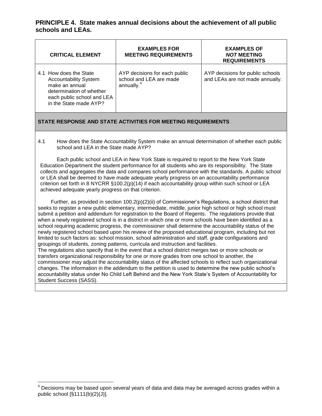**PRINCIPLE 4. State makes annual decisions about the achievement of all public schools and LEAs.**

| <b>CRITICAL ELEMENT</b>                                                                                                                                      |                        | <b>EXAMPLES FOR</b><br><b>MEETING REQUIREMENTS</b>       | <b>EXAMPLES OF</b><br><b>NOT MEETING</b><br><b>REQUIREMENTS</b>     |
|--------------------------------------------------------------------------------------------------------------------------------------------------------------|------------------------|----------------------------------------------------------|---------------------------------------------------------------------|
| 4.1 How does the State<br><b>Accountability System</b><br>make an annual<br>determination of whether<br>each public school and LEA<br>in the State made AYP? | annually. <sup>4</sup> | AYP decisions for each public<br>school and LEA are made | AYP decisions for public schools<br>and LEAs are not made annually. |

## **STATE RESPONSE AND STATE ACTIVITIES FOR MEETING REQUIREMENTS**

4.1 How does the State Accountability System make an annual determination of whether each public school and LEA in the State made AYP?

Each public school and LEA in New York State is required to report to the New York State Education Department the student performance for all students who are its responsibility. The State collects and aggregates the data and compares school performance with the standards. A public school or LEA shall be deemed to have made adequate yearly progress on an accountability performance criterion set forth in 8 NYCRR §100.2(p)(14) if each accountability group within such school or LEA achieved adequate yearly progress on that criterion.

 Further, as provided in section 100.2(p)(2)(ii) of Commissioner's Regulations, a school district that seeks to register a new public elementary, intermediate, middle, junior high school or high school must submit a petition and addendum for registration to the Board of Regents. The regulations provide that when a newly registered school is in a district in which one or more schools have been identified as a school requiring academic progress, the commissioner shall determine the accountability status of the newly registered school based upon his review of the proposed educational program, including but not limited to such factors as: school mission, school administration and staff, grade configurations and groupings of students, zoning patterns, curricula and instruction and facilities. The regulations also specify that in the event that a school district merges two or more schools or transfers organizational responsibility for one or more grades from one school to another, the commissioner may adjust the accountability status of the affected schools to reflect such organizational changes. The information in the addendum to the petition is used to determine the new public school's accountability status under No Child Left Behind and the New York State's System of Accountability for

Student Success (SASS).

 $\overline{a}$ 

 $4$  Decisions may be based upon several years of data and data may be averaged across grades within a public school [§1111(b)(2)(J)].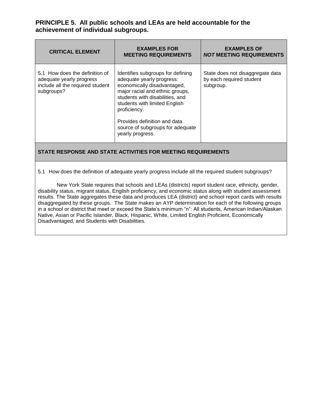**PRINCIPLE 5. All public schools and LEAs are held accountable for the achievement of individual subgroups.**

| <b>CRITICAL ELEMENT</b>                                                                                      | <b>EXAMPLES FOR</b><br><b>MEETING REQUIREMENTS</b>                                                                                                                                                                                                                                                           | <b>EXAMPLES OF</b><br><b>NOT MEETING REQUIREMENTS</b>                     |
|--------------------------------------------------------------------------------------------------------------|--------------------------------------------------------------------------------------------------------------------------------------------------------------------------------------------------------------------------------------------------------------------------------------------------------------|---------------------------------------------------------------------------|
| 5.1 How does the definition of<br>adequate yearly progress<br>include all the required student<br>subgroups? | Identifies subgroups for defining<br>adequate yearly progress:<br>economically disadvantaged,<br>major racial and ethnic groups,<br>students with disabilities, and<br>students with limited English<br>proficiency.<br>Provides definition and data<br>source of subgroups for adequate<br>yearly progress. | State does not disaggregate data<br>by each required student<br>subgroup. |

## **STATE RESPONSE AND STATE ACTIVITIES FOR MEETING REQUIREMENTS**

5.1 How does the definition of adequate yearly progress include all the required student subgroups?

New York State requires that schools and LEAs (districts) report student race, ethnicity, gender, disability status, migrant status, English proficiency, and economic status along with student assessment results. The State aggregates these data and produces LEA (district) and school report cards with results disaggregated by these groups. The State makes an AYP determination for each of the following groups in a school or district that meet or exceed the State's minimum "n": All students, American Indian/Alaskan Native, Asian or Pacific Islander, Black, Hispanic, White, Limited English Proficient, Economically Disadvantaged, and Students with Disabilities.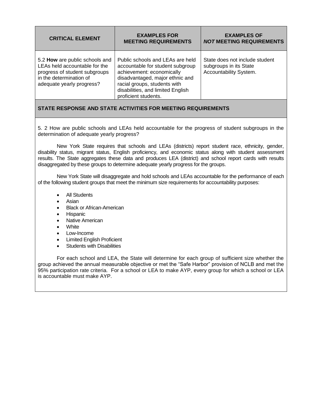| <b>CRITICAL ELEMENT</b>                                                                                                                                  | <b>EXAMPLES FOR</b><br><b>MEETING REQUIREMENTS</b>                                                                                                                                                                                | <b>EXAMPLES OF</b><br><b>NOT MEETING REQUIREMENTS</b>                              |
|----------------------------------------------------------------------------------------------------------------------------------------------------------|-----------------------------------------------------------------------------------------------------------------------------------------------------------------------------------------------------------------------------------|------------------------------------------------------------------------------------|
| 5.2 How are public schools and<br>LEAs held accountable for the<br>progress of student subgroups<br>in the determination of<br>adequate yearly progress? | Public schools and LEAs are held<br>accountable for student subgroup<br>achievement: economically<br>disadvantaged, major ethnic and<br>racial groups, students with<br>disabilities, and limited English<br>proficient students. | State does not include student<br>subgroups in its State<br>Accountability System. |

5. 2 How are public schools and LEAs held accountable for the progress of student subgroups in the determination of adequate yearly progress?

New York State requires that schools and LEAs (districts) report student race, ethnicity, gender, disability status, migrant status, English proficiency, and economic status along with student assessment results. The State aggregates these data and produces LEA (district) and school report cards with results disaggregated by these groups to determine adequate yearly progress for the groups.

New York State will disaggregate and hold schools and LEAs accountable for the performance of each of the following student groups that meet the minimum size requirements for accountability purposes:

- All Students
- Asian
- Black or African-American
- **•** Hispanic
- Native American
- **White**
- Low-Income
- Limited English Proficient
- Students with Disabilities

For each school and LEA, the State will determine for each group of sufficient size whether the group achieved the annual measurable objective or met the "Safe Harbor" provision of NCLB and met the 95% participation rate criteria. For a school or LEA to make AYP, every group for which a school or LEA is accountable must make AYP.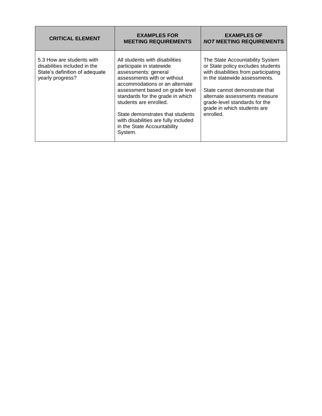| <b>CRITICAL ELEMENT</b>                                                                                         | <b>EXAMPLES FOR</b><br><b>MEETING REQUIREMENTS</b>                                                                                                                                                                                                                                                                                                                         | <b>EXAMPLES OF</b><br><b>NOT MEETING REQUIREMENTS</b>                                                                                                                                                                                                                                        |
|-----------------------------------------------------------------------------------------------------------------|----------------------------------------------------------------------------------------------------------------------------------------------------------------------------------------------------------------------------------------------------------------------------------------------------------------------------------------------------------------------------|----------------------------------------------------------------------------------------------------------------------------------------------------------------------------------------------------------------------------------------------------------------------------------------------|
| 5.3 How are students with<br>disabilities included in the<br>State's definition of adequate<br>yearly progress? | All students with disabilities<br>participate in statewide<br>assessments: general<br>assessments with or without<br>accommodations or an alternate<br>assessment based on grade level<br>standards for the grade in which<br>students are enrolled.<br>State demonstrates that students<br>with disabilities are fully included<br>in the State Accountability<br>System. | The State Accountability System<br>or State policy excludes students<br>with disabilities from participating<br>in the statewide assessments.<br>State cannot demonstrate that<br>alternate assessments measure<br>grade-level standards for the<br>grade in which students are<br>enrolled. |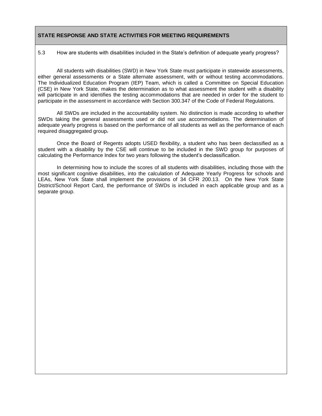5.3 How are students with disabilities included in the State's definition of adequate yearly progress?

All students with disabilities (SWD) in New York State must participate in statewide assessments, either general assessments or a State alternate assessment, with or without testing accommodations. The Individualized Education Program (IEP) Team, which is called a Committee on Special Education (CSE) in New York State, makes the determination as to what assessment the student with a disability will participate in and identifies the testing accommodations that are needed in order for the student to participate in the assessment in accordance with Section 300.347 of the Code of Federal Regulations.

All SWDs are included in the accountability system. No distinction is made according to whether SWDs taking the general assessments used or did not use accommodations. The determination of adequate yearly progress is based on the performance of all students as well as the performance of each required disaggregated group.

Once the Board of Regents adopts USED flexibility, a student who has been declassified as a student with a disability by the CSE will continue to be included in the SWD group for purposes of calculating the Performance Index for two years following the student's declassification.

In determining how to include the scores of all students with disabilities, including those with the most significant cognitive disabilities, into the calculation of Adequate Yearly Progress for schools and LEAs, New York State shall implement the provisions of 34 CFR 200.13. On the New York State District/School Report Card, the performance of SWDs is included in each applicable group and as a separate group.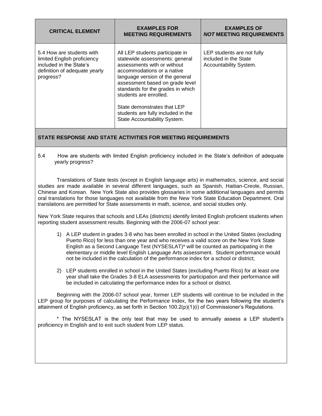| <b>CRITICAL ELEMENT</b>                                                                                                           | <b>EXAMPLES FOR</b><br><b>MEETING REQUIREMENTS</b>                                                                                                                                                                                                                                                                                                                       | <b>EXAMPLES OF</b><br><b>NOT MEETING REQUIREMENTS</b>                         |
|-----------------------------------------------------------------------------------------------------------------------------------|--------------------------------------------------------------------------------------------------------------------------------------------------------------------------------------------------------------------------------------------------------------------------------------------------------------------------------------------------------------------------|-------------------------------------------------------------------------------|
| 5.4 How are students with<br>limited English proficiency<br>included in the State's<br>definition of adequate yearly<br>progress? | All LEP students participate in<br>statewide assessments: general<br>assessments with or without<br>accommodations or a native<br>language version of the general<br>assessment based on grade level<br>standards for the grades in which<br>students are enrolled.<br>State demonstrates that LEP<br>students are fully included in the<br>State Accountability System. | LEP students are not fully<br>included in the State<br>Accountability System. |

5.4 How are students with limited English proficiency included in the State's definition of adequate yearly progress?

Translations of State tests (except in English language arts) in mathematics, science, and social studies are made available in several different languages, such as Spanish, Haitian-Creole, Russian, Chinese and Korean. New York State also provides glossaries in some additional languages and permits oral translations for those languages not available from the New York State Education Department. Oral translations are permitted for State assessments in math, science, and social studies only.

New York State requires that schools and LEAs (districts) identify limited English proficient students when reporting student assessment results. Beginning with the 2006-07 school year:

- 1) A LEP student in grades 3-8 who has been enrolled in school in the United States (excluding Puerto Rico) for less than one year and who receives a valid score on the New York State English as a Second Language Test (NYSESLAT)\* will be counted as participating in the elementary or middle level English Language Arts assessment. Student performance would not be included in the calculation of the performance index for a school or district;
- 2) LEP students enrolled in school in the United States (excluding Puerto Rico) for at least one year shall take the Grades 3-8 ELA assessments for participation and their performance will be included in calculating the performance index for a school or district.

Beginning with the 2006-07 school year, former LEP students will continue to be included in the LEP group for purposes of calculating the Performance Index, for the two years following the student's attainment of English proficiency, as set forth in Section 100.2(p)(1)(i) of Commissioner's Regulations.

\* The NYSESLAT is the only test that may be used to annually assess a LEP student's proficiency in English and to exit such student from LEP status.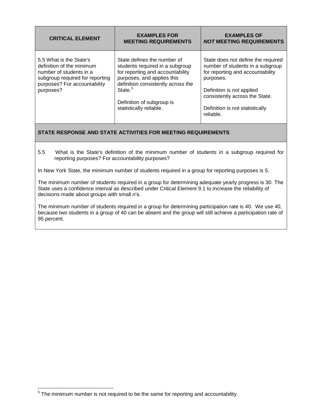| <b>CRITICAL ELEMENT</b>                                                                                                                                         | <b>EXAMPLES FOR</b><br><b>MEETING REQUIREMENTS</b>                                                                                                                                                                                                    | <b>EXAMPLES OF</b><br><b>NOT MEETING REQUIREMENTS</b>                                                                                                                                                                                  |
|-----------------------------------------------------------------------------------------------------------------------------------------------------------------|-------------------------------------------------------------------------------------------------------------------------------------------------------------------------------------------------------------------------------------------------------|----------------------------------------------------------------------------------------------------------------------------------------------------------------------------------------------------------------------------------------|
| 5.5 What is the State's<br>definition of the minimum<br>number of students in a<br>subgroup required for reporting<br>purposes? For accountability<br>purposes? | State defines the number of<br>students required in a subgroup<br>for reporting and accountability<br>purposes, and applies this<br>definition consistently across the<br>State. <sup>5</sup><br>Definition of subgroup is<br>statistically reliable. | State does not define the required<br>number of students in a subgroup<br>for reporting and accountability<br>purposes.<br>Definition is not applied<br>consistently across the State.<br>Definition is not statistically<br>reliable. |

5.5 What is the State's definition of the minimum number of students in a subgroup required for reporting purposes? For accountability purposes?

In New York State, the minimum number of students required in a group for reporting purposes is 5.

The minimum number of students required in a group for determining adequate yearly progress is 30. The State uses a confidence interval as described under Critical Element 9.1 to increase the reliability of decisions made about groups with small *n*'s.

The minimum number of students required in a group for determining participation rate is 40. We use 40, because two students in a group of 40 can be absent and the group will still achieve a participation rate of 95 percent.

 5 The minimum number is not required to be the same for reporting and accountability.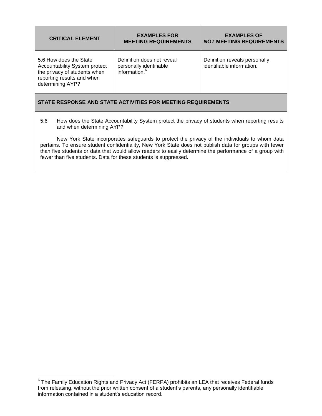| <b>CRITICAL ELEMENT</b>                                                                                                                   | <b>EXAMPLES FOR</b><br><b>MEETING REQUIREMENTS</b>                                 | <b>EXAMPLES OF</b><br><b>NOT MEETING REQUIREMENTS</b>      |  |  |  |  |
|-------------------------------------------------------------------------------------------------------------------------------------------|------------------------------------------------------------------------------------|------------------------------------------------------------|--|--|--|--|
| 5.6 How does the State<br>Accountability System protect<br>the privacy of students when<br>reporting results and when<br>determining AYP? | Definition does not reveal<br>personally identifiable<br>information. <sup>6</sup> | Definition reveals personally<br>identifiable information. |  |  |  |  |

5.6 How does the State Accountability System protect the privacy of students when reporting results and when determining AYP?

New York State incorporates safeguards to protect the privacy of the individuals to whom data pertains. To ensure student confidentiality, New York State does not publish data for groups with fewer than five students or data that would allow readers to easily determine the performance of a group with fewer than five students. Data for these students is suppressed.

 6 The Family Education Rights and Privacy Act (FERPA) prohibits an LEA that receives Federal funds from releasing, without the prior written consent of a student's parents, any personally identifiable information contained in a student's education record.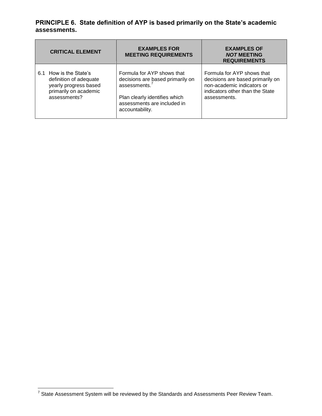## **PRINCIPLE 6. State definition of AYP is based primarily on the State's academic assessments.**

| <b>CRITICAL ELEMENT</b> |                               | <b>EXAMPLES FOR</b><br><b>MEETING REQUIREMENTS</b> | <b>EXAMPLES OF</b><br><b>NOT MEETING</b><br><b>REQUIREMENTS</b> |  |  |  |
|-------------------------|-------------------------------|----------------------------------------------------|-----------------------------------------------------------------|--|--|--|
| 6.1 How is the State's  | Formula for AYP shows that    | decisions are based primarily on                   | Formula for AYP shows that                                      |  |  |  |
| definition of adequate  | assessments.                  |                                                    | decisions are based primarily on                                |  |  |  |
| yearly progress based   | Plan clearly identifies which |                                                    | non-academic indicators or                                      |  |  |  |
| primarily on academic   | assessments are included in   |                                                    | indicators other than the State                                 |  |  |  |
| assessments?            | accountability.               |                                                    | assessments.                                                    |  |  |  |

<sup>————————————————————&</sup>lt;br><sup>7</sup> State Assessment System will be reviewed by the Standards and Assessments Peer Review Team.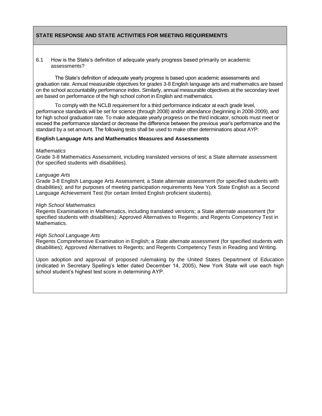#### 6.1 How is the State's definition of adequate yearly progress based primarily on academic assessments?

The State's definition of adequate yearly progress is based upon academic assessments and graduation rate. Annual measurable objectives for grades 3-8 English language arts and mathematics are based on the school accountability performance index. Similarly, annual measurable objectives at the secondary level are based on performance of the high school cohort in English and mathematics.

To comply with the NCLB requirement for a third performance indicator at each grade level, performance standards will be set for science (through 2008) and/or attendance (beginning in 2008-2009), and for high school graduation rate. To make adequate yearly progress on the third indicator, schools must meet or exceed the performance standard or decrease the difference between the previous year's performance and the standard by a set amount. The following tests shall be used to make other determinations about AYP:

#### **English Language Arts and Mathematics Measures and Assessments**

#### *Mathematics*

Grade 3-8 Mathematics Assessment, including translated versions of test; a State alternate assessment (for specified students with disabilities).

#### *Language Arts*

Grade 3-8 English Language Arts Assessment; a State alternate assessment (for specified students with disabilities); and for purposes of meeting participation requirements New York State English as a Second Language Achievement Test (for certain limited English proficient students).

#### *High School Mathematics*

Regents Examinations in Mathematics, including translated versions; a State alternate assessment (for specified students with disabilities); Approved Alternatives to Regents; and Regents Competency Test in Mathematics.

#### *High School Language Arts*

Regents Comprehensive Examination in English; a State alternate assessment (for specified students with disabilities); Approved Alternatives to Regents; and Regents Competency Tests in Reading and Writing.

Upon adoption and approval of proposed rulemaking by the United States Department of Education (indicated in Secretary Spelling's letter dated December 14, 2005), New York State will use each high school student's highest test score in determining AYP.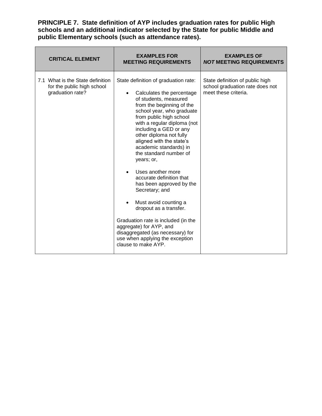**PRINCIPLE 7. State definition of AYP includes graduation rates for public High schools and an additional indicator selected by the State for public Middle and public Elementary schools (such as attendance rates).**

| <b>CRITICAL ELEMENT</b>                                                            | <b>EXAMPLES FOR</b><br><b>MEETING REQUIREMENTS</b>                                                                                                                                                                                                                                                                                                                                                                                                                                                                                                                                                                                                                                                            | <b>EXAMPLES OF</b><br><b>NOT MEETING REQUIREMENTS</b>                                      |  |  |  |  |
|------------------------------------------------------------------------------------|---------------------------------------------------------------------------------------------------------------------------------------------------------------------------------------------------------------------------------------------------------------------------------------------------------------------------------------------------------------------------------------------------------------------------------------------------------------------------------------------------------------------------------------------------------------------------------------------------------------------------------------------------------------------------------------------------------------|--------------------------------------------------------------------------------------------|--|--|--|--|
| 7.1 What is the State definition<br>for the public high school<br>graduation rate? | State definition of graduation rate:<br>Calculates the percentage<br>$\bullet$<br>of students, measured<br>from the beginning of the<br>school year, who graduate<br>from public high school<br>with a regular diploma (not<br>including a GED or any<br>other diploma not fully<br>aligned with the state's<br>academic standards) in<br>the standard number of<br>years; or,<br>Uses another more<br>$\bullet$<br>accurate definition that<br>has been approved by the<br>Secretary; and<br>Must avoid counting a<br>dropout as a transfer.<br>Graduation rate is included (in the<br>aggregate) for AYP, and<br>disaggregated (as necessary) for<br>use when applying the exception<br>clause to make AYP. | State definition of public high<br>school graduation rate does not<br>meet these criteria. |  |  |  |  |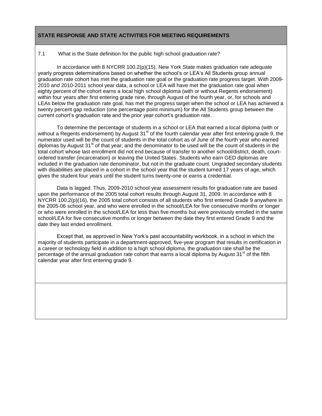#### 7.1 What is the State definition for the public high school graduation rate?

In accordance with 8 NYCRR 100.2(p)(15), New York State makes graduation rate adequate yearly progress determinations based on whether the school's or LEA's All Students group annual graduation rate cohort has met the graduation rate goal or the graduation rate progress target. With 2009- 2010 and 2010-2011 school year data, a school or LEA will have met the graduation rate goal when eighty percent of the cohort earns a local high school diploma (with or without Regents endorsement) within four years after first entering grade nine, through August of the fourth year, or, for schools and LEAs below the graduation rate goal, has met the progress target when the school or LEA has achieved a twenty percent gap reduction (one percentage point minimum) for the All Students group between the current cohort's graduation rate and the prior year cohort's graduation rate.

To determine the percentage of students in a school or LEA that earned a local diploma (with or without a Regents endorsement) by August  $31<sup>st</sup>$  of the fourth calendar year after first entering grade 9, the numerator used will be the count of students in the total cohort as of June of the fourth year who earned diplomas by August  $31<sup>st</sup>$  of that year; and the denominator to be used will be the count of students in the total cohort whose last enrollment did not end because of transfer to another school/district, death, courtordered transfer (incarceration) or leaving the United States. Students who earn GED diplomas are included in the graduation rate denominator, but not in the graduate count. Ungraded secondary students with disabilities are placed in a cohort in the school year that the student turned 17 years of age, which gives the student four years until the student turns twenty-one or earns a credential.

Data is lagged. Thus, 2009-2010 school year assessment results for graduation rate are based upon the performance of the 2005 total cohort results through August 31, 2009. In accordance with 8 NYCRR 100.2(p)(16), the 2005 total cohort consists of all students who first entered Grade 9 anywhere in the 2005-06 school year, and who were enrolled in the school/LEA for five consecutive months or longer or who were enrolled in the school/LEA for less than five months but were previously enrolled in the same school/LEA for five consecutive months or longer between the date they first entered Grade 9 and the date they last ended enrollment.

Except that, as approved in New York's past accountability workbook, in a school in which the majority of students participate in a department-approved, five-year program that results in certification in a career or technology field in addition to a high school diploma, the graduation rate shall be the percentage of the annual graduation rate cohort that earns a local diploma by August 31<sup>st</sup> of the fifth calendar year after first entering grade 9.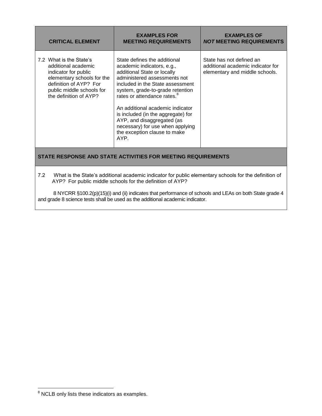| <b>CRITICAL ELEMENT</b>                                                                                                                                                               | <b>EXAMPLES FOR</b><br><b>MEETING REQUIREMENTS</b>                                                                                                                                                                                                                                                                                                                                                                               | <b>EXAMPLES OF</b><br><b>NOT MEETING REQUIREMENTS</b>                                           |
|---------------------------------------------------------------------------------------------------------------------------------------------------------------------------------------|----------------------------------------------------------------------------------------------------------------------------------------------------------------------------------------------------------------------------------------------------------------------------------------------------------------------------------------------------------------------------------------------------------------------------------|-------------------------------------------------------------------------------------------------|
| 7.2 What is the State's<br>additional academic<br>indicator for public<br>elementary schools for the<br>definition of AYP? For<br>public middle schools for<br>the definition of AYP? | State defines the additional<br>academic indicators, e.g.,<br>additional State or locally<br>administered assessments not<br>included in the State assessment<br>system, grade-to-grade retention<br>rates or attendance rates. <sup>8</sup><br>An additional academic indicator<br>is included (in the aggregate) for<br>AYP, and disaggregated (as<br>necessary) for use when applying<br>the exception clause to make<br>AYP. | State has not defined an<br>additional academic indicator for<br>elementary and middle schools. |

7.2 What is the State's additional academic indicator for public elementary schools for the definition of AYP? For public middle schools for the definition of AYP?

8 NYCRR §100.2(p)(15)(i) and (ii) indicates that performance of schools and LEAs on both State grade 4 and grade 8 science tests shall be used as the additional academic indicator.

 $\overline{a}$ 

 $8$  NCLB only lists these indicators as examples.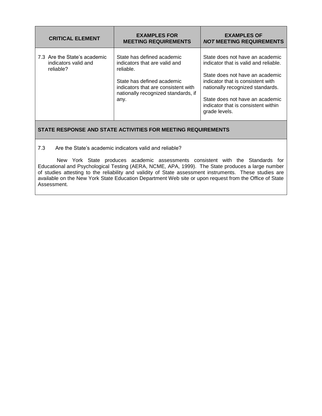| <b>CRITICAL ELEMENT</b>                                           | <b>EXAMPLES FOR</b><br><b>MEETING REQUIREMENTS</b>                                                                                                                                           | <b>EXAMPLES OF</b><br><b>NOT MEETING REQUIREMENTS</b>                                                                                                                                                                                                                           |  |  |  |  |
|-------------------------------------------------------------------|----------------------------------------------------------------------------------------------------------------------------------------------------------------------------------------------|---------------------------------------------------------------------------------------------------------------------------------------------------------------------------------------------------------------------------------------------------------------------------------|--|--|--|--|
| 7.3 Are the State's academic<br>indicators valid and<br>reliable? | State has defined academic<br>indicators that are valid and<br>reliable.<br>State has defined academic<br>indicators that are consistent with<br>nationally recognized standards, if<br>any. | State does not have an academic<br>indicator that is valid and reliable.<br>State does not have an academic<br>indicator that is consistent with<br>nationally recognized standards.<br>State does not have an academic<br>indicator that is consistent within<br>grade levels. |  |  |  |  |

7.3 Are the State's academic indicators valid and reliable?

New York State produces academic assessments consistent with the Standards for Educational and Psychological Testing (AERA, NCME, APA, 1999). The State produces a large number of studies attesting to the reliability and validity of State assessment instruments. These studies are available on the New York State Education Department Web site or upon request from the Office of State Assessment.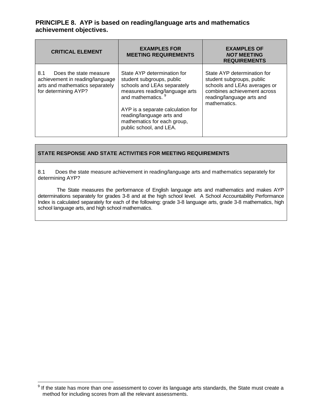## **PRINCIPLE 8. AYP is based on reading/language arts and mathematics achievement objectives.**

| <b>CRITICAL ELEMENT</b>                                                                                                     | <b>EXAMPLES FOR</b><br><b>MEETING REQUIREMENTS</b>                                                                                                                                                                                                                        | <b>EXAMPLES OF</b><br><b>NOT MEETING</b><br><b>REQUIREMENTS</b>                                                                                                      |  |  |  |  |
|-----------------------------------------------------------------------------------------------------------------------------|---------------------------------------------------------------------------------------------------------------------------------------------------------------------------------------------------------------------------------------------------------------------------|----------------------------------------------------------------------------------------------------------------------------------------------------------------------|--|--|--|--|
| 8.1<br>Does the state measure<br>achievement in reading/language<br>arts and mathematics separately<br>for determining AYP? | State AYP determination for<br>student subgroups, public<br>schools and LEAs separately<br>measures reading/language arts<br>and mathematics.<br>AYP is a separate calculation for<br>reading/language arts and<br>mathematics for each group,<br>public school, and LEA. | State AYP determination for<br>student subgroups, public<br>schools and LEAs averages or<br>combines achievement across<br>reading/language arts and<br>mathematics. |  |  |  |  |

## **STATE RESPONSE AND STATE ACTIVITIES FOR MEETING REQUIREMENTS**

8.1 Does the state measure achievement in reading/language arts and mathematics separately for determining AYP?

The State measures the performance of English language arts and mathematics and makes AYP determinations separately for grades 3-8 and at the high school level. A School Accountability Performance Index is calculated separately for each of the following: grade 3-8 language arts, grade 3-8 mathematics, high school language arts, and high school mathematics.

 $\overline{a}$ 

 $9$  If the state has more than one assessment to cover its language arts standards, the State must create a method for including scores from all the relevant assessments.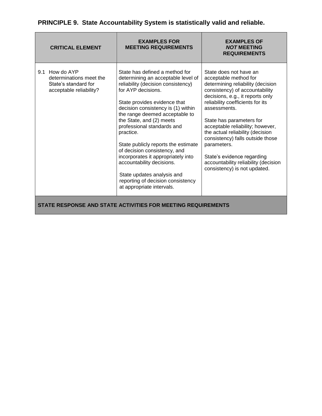|     | <b>CRITICAL ELEMENT</b>                                                                  | <b>EXAMPLES FOR</b><br><b>MEETING REQUIREMENTS</b>                                                                                                                                                                                                                                                                                                                                                                                                                                                                                                        | <b>EXAMPLES OF</b><br><b>NOT MEETING</b><br><b>REQUIREMENTS</b>                                                                                                                                                                                                                                                                                                                                                                                                             |
|-----|------------------------------------------------------------------------------------------|-----------------------------------------------------------------------------------------------------------------------------------------------------------------------------------------------------------------------------------------------------------------------------------------------------------------------------------------------------------------------------------------------------------------------------------------------------------------------------------------------------------------------------------------------------------|-----------------------------------------------------------------------------------------------------------------------------------------------------------------------------------------------------------------------------------------------------------------------------------------------------------------------------------------------------------------------------------------------------------------------------------------------------------------------------|
| 9.1 | How do AYP<br>determinations meet the<br>State's standard for<br>acceptable reliability? | State has defined a method for<br>determining an acceptable level of<br>reliability (decision consistency)<br>for AYP decisions.<br>State provides evidence that<br>decision consistency is (1) within<br>the range deemed acceptable to<br>the State, and (2) meets<br>professional standards and<br>practice.<br>State publicly reports the estimate<br>of decision consistency, and<br>incorporates it appropriately into<br>accountability decisions.<br>State updates analysis and<br>reporting of decision consistency<br>at appropriate intervals. | State does not have an<br>acceptable method for<br>determining reliability (decision<br>consistency) of accountability<br>decisions, e.g., it reports only<br>reliability coefficients for its<br>assessments.<br>State has parameters for<br>acceptable reliability; however,<br>the actual reliability (decision<br>consistency) falls outside those<br>parameters.<br>State's evidence regarding<br>accountability reliability (decision<br>consistency) is not updated. |
|     |                                                                                          | STATE RESPONSE AND STATE ACTIVITIES FOR MEETING REQUIREMENTS                                                                                                                                                                                                                                                                                                                                                                                                                                                                                              |                                                                                                                                                                                                                                                                                                                                                                                                                                                                             |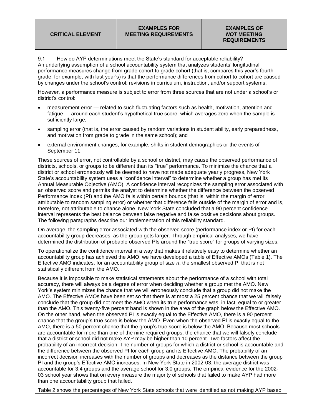9.1 How do AYP determinations meet the State's standard for acceptable reliability? An underlying assumption of a school accountability system that analyzes students' longitudinal performance measures change from grade cohort to grade cohort (that is, compares this year's fourth grade, for example, with last year's) is that the performance differences from cohort to cohort are caused by changes under the school's control: revisions in curriculum, instruction, and/or support systems.

However, a performance measure is subject to error from three sources that are not under a school's or district's control:

- measurement error related to such fluctuating factors such as health, motivation, attention and fatigue — around each student's hypothetical true score, which averages zero when the sample is sufficiently large;
- sampling error (that is, the error caused by random variations in student ability, early preparedness, and motivation from grade to grade in the same school); and
- external environment changes, for example, shifts in student demographics or the events of September 11.

These sources of error, not controllable by a school or district, may cause the observed performance of districts, schools, or groups to be different than its "true" performance. To minimize the chance that a district or school erroneously will be deemed to have not made adequate yearly progress, New York State's accountability system uses a "confidence interval" to determine whether a group has met its Annual Measurable Objective (AMO). A confidence interval recognizes the sampling error associated with an observed score and permits the analyst to determine whether the difference between the observed Performance Index (PI) and the AMO falls within certain bounds (that is, within the margin of error attributable to random sampling error) or whether that difference falls outside of the margin of error and is, therefore, not attributable to chance alone. New York State concluded that a 90 percent confidence interval represents the best balance between false negative and false positive decisions about groups. The following paragraphs describe our implementation of this reliability standard.

On average, the sampling error associated with the observed score (performance index or PI) for each accountability group decreases, as the group gets larger. Through empirical analyses, we have determined the distribution of probable observed PIs around the "true score" for groups of varying sizes.

To operationalize the confidence interval in a way that makes it relatively easy to determine whether an accountability group has achieved the AMO, we have developed a table of Effective AMOs (Table 1). The Effective AMO indicates, for an accountability group of size *n*, the smallest observed PI that is not statistically different from the AMO.

Because it is impossible to make statistical statements about the performance of a school with total accuracy, there will always be a degree of error when deciding whether a group met the AMO. New York's system minimizes the chance that we will erroneously conclude that a group did not make the AMO. The Effective AMOs have been set so that there is at most a 25 percent chance that we will falsely conclude that the group did not meet the AMO when its true performance was, in fact, equal to or greater than the AMO. This twenty-five percent band is shown in the area of the graph below the Effective AMO. On the other hand, when the observed PI is exactly equal to the Effective AMO, there is a 90 percent chance that the group's true score is below the AMO. Even when the observed PI is exactly equal to the AMO, there is a 50 percent chance that the group's true score is below the AMO. Because most schools are accountable for more than one of the nine required groups, the chance that we will falsely conclude that a district or school did not make AYP may be higher than 10 percent. Two factors affect the probability of an incorrect decision: The number of groups for which a district or school is accountable and the difference between the observed PI for each group and its Effective AMO. The probability of an incorrect decision increases with the number of groups and decreases as the distance between the group PI and the group's Effective AMO increases. In New York State in 2002-03, the average district was accountable for 3.4 groups and the average school for 3.0 groups. The empirical evidence for the 2002- 03 school year shows that on every measure the majority of schools that failed to make AYP had more than one accountability group that failed.

Table 2 shows the percentages of New York State schools that were identified as not making AYP based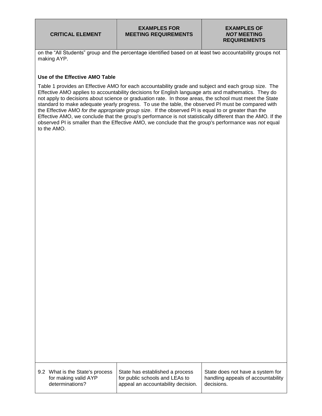on the "All Students" group and the percentage identified based on at least two accountability groups not making AYP.

#### **Use of the Effective AMO Table**

Table 1 provides an Effective AMO for each accountability grade and subject and each group size. The Effective AMO applies to accountability decisions for English language arts and mathematics. They do not apply to decisions about science or graduation rate. In those areas, the school must meet the State standard to make adequate yearly progress. To use the table, the observed PI must be compared with the Effective AMO *for the appropriate group size*. If the observed PI is equal to or greater than the Effective AMO, we conclude that the group's performance is not statistically different than the AMO. If the observed PI is smaller than the Effective AMO, we conclude that the group's performance was *not* equal to the AMO.

| 9.2 What is the State's process |
|---------------------------------|
| for making valid AYP            |
| determinations?                 |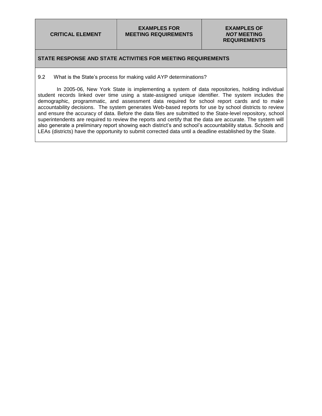## **STATE RESPONSE AND STATE ACTIVITIES FOR MEETING REQUIREMENTS**

9.2 What is the State's process for making valid AYP determinations?

In 2005-06, New York State is implementing a system of data repositories, holding individual student records linked over time using a state-assigned unique identifier. The system includes the demographic, programmatic, and assessment data required for school report cards and to make accountability decisions. The system generates Web-based reports for use by school districts to review and ensure the accuracy of data. Before the data files are submitted to the State-level repository, school superintendents are required to review the reports and certify that the data are accurate. The system will also generate a preliminary report showing each district's and school's accountability status. Schools and LEAs (districts) have the opportunity to submit corrected data until a deadline established by the State.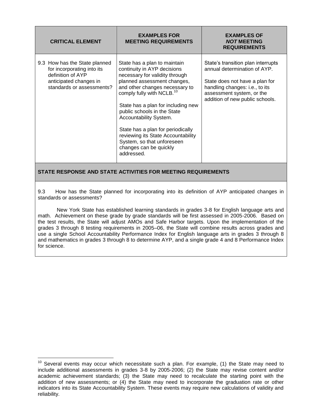| <b>CRITICAL ELEMENT</b>                                                                                                                 | <b>EXAMPLES FOR</b><br><b>MEETING REQUIREMENTS</b>                                                                                                                                                                                                                                                                                                                                                                                                      | <b>EXAMPLES OF</b><br><b>NOT MEETING</b><br><b>REQUIREMENTS</b>                                                                                                                                        |  |  |  |  |
|-----------------------------------------------------------------------------------------------------------------------------------------|---------------------------------------------------------------------------------------------------------------------------------------------------------------------------------------------------------------------------------------------------------------------------------------------------------------------------------------------------------------------------------------------------------------------------------------------------------|--------------------------------------------------------------------------------------------------------------------------------------------------------------------------------------------------------|--|--|--|--|
| 9.3 How has the State planned<br>for incorporating into its<br>definition of AYP<br>anticipated changes in<br>standards or assessments? | State has a plan to maintain<br>continuity in AYP decisions<br>necessary for validity through<br>planned assessment changes,<br>and other changes necessary to<br>comply fully with NCLB. <sup>10</sup><br>State has a plan for including new<br>public schools in the State<br>Accountability System.<br>State has a plan for periodically<br>reviewing its State Accountability<br>System, so that unforeseen<br>changes can be quickly<br>addressed. | State's transition plan interrupts<br>annual determination of AYP.<br>State does not have a plan for<br>handling changes: i.e., to its<br>assessment system, or the<br>addition of new public schools. |  |  |  |  |

9.3 How has the State planned for incorporating into its definition of AYP anticipated changes in standards or assessments?

New York State has established learning standards in grades 3-8 for English language arts and math. Achievement on these grade by grade standards will be first assessed in 2005-2006. Based on the test results, the State will adjust AMOs and Safe Harbor targets. Upon the implementation of the grades 3 through 8 testing requirements in 2005–06, the State will combine results across grades and use a single School Accountability Performance Index for English language arts in grades 3 through 8 and mathematics in grades 3 through 8 to determine AYP, and a single grade 4 and 8 Performance Index for science.

 $\overline{a}$ 

 $10$  Several events may occur which necessitate such a plan. For example, (1) the State may need to include additional assessments in grades 3-8 by 2005-2006; (2) the State may revise content and/or academic achievement standards; (3) the State may need to recalculate the starting point with the addition of new assessments; or (4) the State may need to incorporate the graduation rate or other indicators into its State Accountability System. These events may require new calculations of validity and reliability.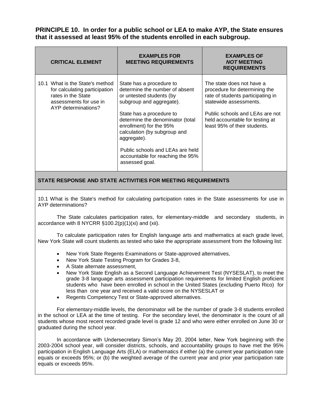**PRINCIPLE 10. In order for a public school or LEA to make AYP, the State ensures that it assessed at least 95% of the students enrolled in each subgroup.**

| <b>CRITICAL ELEMENT</b>                                                                                                                 | <b>EXAMPLES FOR</b><br><b>MEETING REQUIREMENTS</b>                                                                                                                                                                                                                                                                                                     | <b>EXAMPLES OF</b><br><b>NOT MEETING</b><br><b>REQUIREMENTS</b>                                                                                                                                                                 |
|-----------------------------------------------------------------------------------------------------------------------------------------|--------------------------------------------------------------------------------------------------------------------------------------------------------------------------------------------------------------------------------------------------------------------------------------------------------------------------------------------------------|---------------------------------------------------------------------------------------------------------------------------------------------------------------------------------------------------------------------------------|
| 10.1 What is the State's method<br>for calculating participation<br>rates in the State<br>assessments for use in<br>AYP determinations? | State has a procedure to<br>determine the number of absent<br>or untested students (by<br>subgroup and aggregate).<br>State has a procedure to<br>determine the denominator (total<br>enrollment) for the 95%<br>calculation (by subgroup and<br>aggregate).<br>Public schools and LEAs are held<br>accountable for reaching the 95%<br>assessed goal. | The state does not have a<br>procedure for determining the<br>rate of students participating in<br>statewide assessments.<br>Public schools and LEAs are not<br>held accountable for testing at<br>least 95% of their students. |

## **STATE RESPONSE AND STATE ACTIVITIES FOR MEETING REQUIREMENTS**

10.1 What is the State's method for calculating participation rates in the State assessments for use in AYP determinations?

The State calculates participation rates, for elementary-middle and secondary students, in accordance with 8 NYCRR §100.2(p)(1)(xi) and (xii).

To calculate participation rates for English language arts and mathematics at each grade level, New York State will count students as tested who take the appropriate assessment from the following list:

- New York State Regents Examinations or State-approved alternatives,
- New York State Testing Program for Grades 3-8,
- A State alternate assessment,
- New York State English as a Second Language Achievement Test (NYSESLAT), to meet the grade 3-8 language arts assessment participation requirements for limited English proficient students who have been enrolled in school in the United States (excluding Puerto Rico) for less than one year and received a valid score on the NYSESLAT or
- Regents Competency Test or State-approved alternatives.

For elementary-middle levels, the denominator will be the number of grade 3-8 students enrolled in the school or LEA at the time of testing. For the secondary level, the denominator is the count of all students whose most recent recorded grade level is grade 12 and who were either enrolled on June 30 or graduated during the school year.

In accordance with Undersecretary Simon's May 20, 2004 letter, New York beginning with the 2003-2004 school year, will consider districts, schools, and accountability groups to have met the 95% participation in English Language Arts (ELA) or mathematics if either (a) the current year participation rate equals or exceeds 95%; or (b) the weighted average of the current year and prior year participation rate equals or exceeds 95%.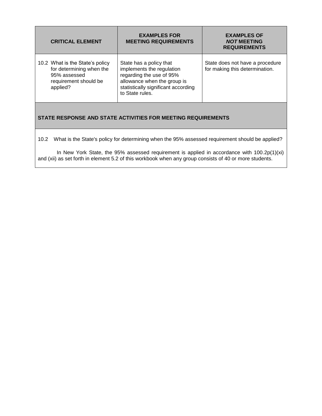| <b>CRITICAL ELEMENT</b>                                                                                          | <b>EXAMPLES FOR</b><br><b>MEETING REQUIREMENTS</b>                                                                                                                        | <b>EXAMPLES OF</b><br><b>NOT MEETING</b><br><b>REQUIREMENTS</b>   |  |  |  |  |
|------------------------------------------------------------------------------------------------------------------|---------------------------------------------------------------------------------------------------------------------------------------------------------------------------|-------------------------------------------------------------------|--|--|--|--|
| 10.2 What is the State's policy<br>for determining when the<br>95% assessed<br>requirement should be<br>applied? | State has a policy that<br>implements the regulation<br>regarding the use of 95%<br>allowance when the group is<br>statistically significant according<br>to State rules. | State does not have a procedure<br>for making this determination. |  |  |  |  |
|                                                                                                                  |                                                                                                                                                                           |                                                                   |  |  |  |  |

10.2 What is the State's policy for determining when the 95% assessed requirement should be applied?

In New York State, the 95% assessed requirement is applied in accordance with 100.2p(1)(xi) and (xii) as set forth in element 5.2 of this workbook when any group consists of 40 or more students.